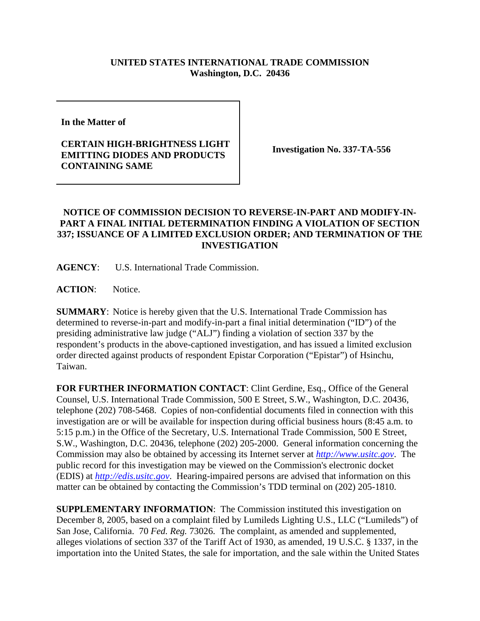## **UNITED STATES INTERNATIONAL TRADE COMMISSION Washington, D.C. 20436**

**In the Matter of** 

## **CERTAIN HIGH-BRIGHTNESS LIGHT EMITTING DIODES AND PRODUCTS CONTAINING SAME**

**Investigation No. 337-TA-556**

## **NOTICE OF COMMISSION DECISION TO REVERSE-IN-PART AND MODIFY-IN-PART A FINAL INITIAL DETERMINATION FINDING A VIOLATION OF SECTION 337; ISSUANCE OF A LIMITED EXCLUSION ORDER; AND TERMINATION OF THE INVESTIGATION**

**AGENCY**: U.S. International Trade Commission.

ACTION: Notice.

**SUMMARY**: Notice is hereby given that the U.S. International Trade Commission has determined to reverse-in-part and modify-in-part a final initial determination ("ID") of the presiding administrative law judge ("ALJ") finding a violation of section 337 by the respondent's products in the above-captioned investigation, and has issued a limited exclusion order directed against products of respondent Epistar Corporation ("Epistar") of Hsinchu, Taiwan.

**FOR FURTHER INFORMATION CONTACT**: Clint Gerdine, Esq., Office of the General Counsel, U.S. International Trade Commission, 500 E Street, S.W., Washington, D.C. 20436, telephone (202) 708-5468. Copies of non-confidential documents filed in connection with this investigation are or will be available for inspection during official business hours (8:45 a.m. to 5:15 p.m.) in the Office of the Secretary, U.S. International Trade Commission, 500 E Street, S.W., Washington, D.C. 20436, telephone (202) 205-2000. General information concerning the Commission may also be obtained by accessing its Internet server at *http://www.usitc.gov*. The public record for this investigation may be viewed on the Commission's electronic docket (EDIS) at *http://edis.usitc.gov*. Hearing-impaired persons are advised that information on this matter can be obtained by contacting the Commission's TDD terminal on (202) 205-1810.

**SUPPLEMENTARY INFORMATION:** The Commission instituted this investigation on December 8, 2005, based on a complaint filed by Lumileds Lighting U.S., LLC ("Lumileds") of San Jose, California. 70 *Fed. Reg.* 73026. The complaint, as amended and supplemented, alleges violations of section 337 of the Tariff Act of 1930, as amended, 19 U.S.C. § 1337, in the importation into the United States, the sale for importation, and the sale within the United States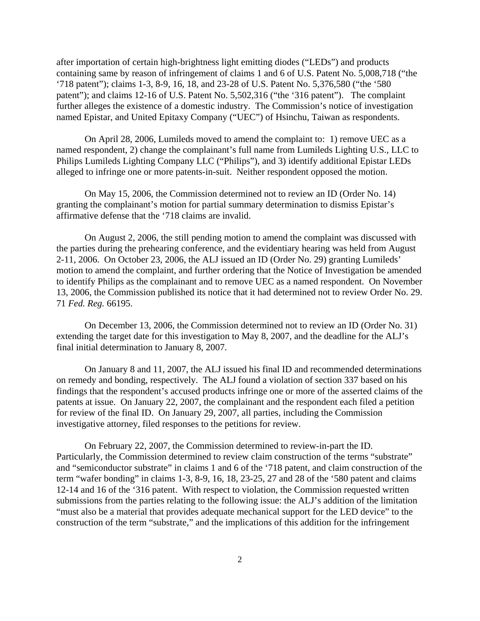after importation of certain high-brightness light emitting diodes ("LEDs") and products containing same by reason of infringement of claims 1 and 6 of U.S. Patent No. 5,008,718 ("the '718 patent"); claims 1-3, 8-9, 16, 18, and 23-28 of U.S. Patent No. 5,376,580 ("the '580 patent"); and claims 12-16 of U.S. Patent No. 5,502,316 ("the '316 patent"). The complaint further alleges the existence of a domestic industry. The Commission's notice of investigation named Epistar, and United Epitaxy Company ("UEC") of Hsinchu, Taiwan as respondents.

On April 28, 2006, Lumileds moved to amend the complaint to: 1) remove UEC as a named respondent, 2) change the complainant's full name from Lumileds Lighting U.S., LLC to Philips Lumileds Lighting Company LLC ("Philips"), and 3) identify additional Epistar LEDs alleged to infringe one or more patents-in-suit. Neither respondent opposed the motion.

On May 15, 2006, the Commission determined not to review an ID (Order No. 14) granting the complainant's motion for partial summary determination to dismiss Epistar's affirmative defense that the '718 claims are invalid.

On August 2, 2006, the still pending motion to amend the complaint was discussed with the parties during the prehearing conference, and the evidentiary hearing was held from August 2-11, 2006. On October 23, 2006, the ALJ issued an ID (Order No. 29) granting Lumileds' motion to amend the complaint, and further ordering that the Notice of Investigation be amended to identify Philips as the complainant and to remove UEC as a named respondent. On November 13, 2006, the Commission published its notice that it had determined not to review Order No. 29. 71 *Fed. Reg.* 66195.

On December 13, 2006, the Commission determined not to review an ID (Order No. 31) extending the target date for this investigation to May 8, 2007, and the deadline for the ALJ's final initial determination to January 8, 2007.

On January 8 and 11, 2007, the ALJ issued his final ID and recommended determinations on remedy and bonding, respectively. The ALJ found a violation of section 337 based on his findings that the respondent's accused products infringe one or more of the asserted claims of the patents at issue. On January 22, 2007, the complainant and the respondent each filed a petition for review of the final ID. On January 29, 2007, all parties, including the Commission investigative attorney, filed responses to the petitions for review.

On February 22, 2007, the Commission determined to review-in-part the ID. Particularly, the Commission determined to review claim construction of the terms "substrate" and "semiconductor substrate" in claims 1 and 6 of the '718 patent, and claim construction of the term "wafer bonding" in claims 1-3, 8-9, 16, 18, 23-25, 27 and 28 of the '580 patent and claims 12-14 and 16 of the '316 patent. With respect to violation, the Commission requested written submissions from the parties relating to the following issue: the ALJ's addition of the limitation "must also be a material that provides adequate mechanical support for the LED device" to the construction of the term "substrate," and the implications of this addition for the infringement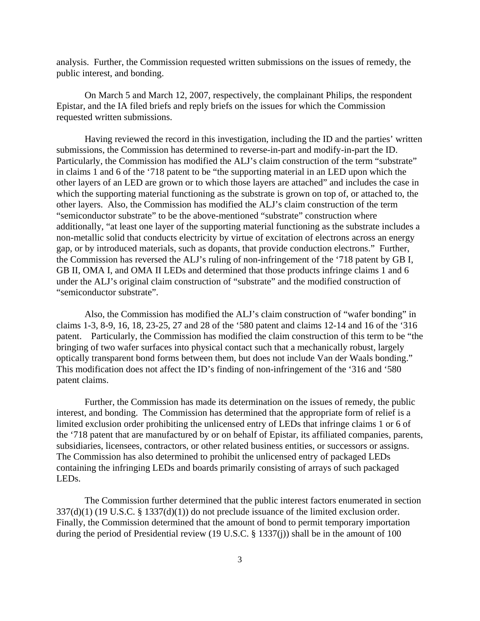analysis. Further, the Commission requested written submissions on the issues of remedy, the public interest, and bonding.

On March 5 and March 12, 2007, respectively, the complainant Philips, the respondent Epistar, and the IA filed briefs and reply briefs on the issues for which the Commission requested written submissions.

Having reviewed the record in this investigation, including the ID and the parties' written submissions, the Commission has determined to reverse-in-part and modify-in-part the ID. Particularly, the Commission has modified the ALJ's claim construction of the term "substrate" in claims 1 and 6 of the '718 patent to be "the supporting material in an LED upon which the other layers of an LED are grown or to which those layers are attached" and includes the case in which the supporting material functioning as the substrate is grown on top of, or attached to, the other layers. Also, the Commission has modified the ALJ's claim construction of the term "semiconductor substrate" to be the above-mentioned "substrate" construction where additionally, "at least one layer of the supporting material functioning as the substrate includes a non-metallic solid that conducts electricity by virtue of excitation of electrons across an energy gap, or by introduced materials, such as dopants, that provide conduction electrons." Further, the Commission has reversed the ALJ's ruling of non-infringement of the '718 patent by GB I, GB II, OMA I, and OMA II LEDs and determined that those products infringe claims 1 and 6 under the ALJ's original claim construction of "substrate" and the modified construction of "semiconductor substrate".

 Also, the Commission has modified the ALJ's claim construction of "wafer bonding" in claims 1-3, 8-9, 16, 18, 23-25, 27 and 28 of the '580 patent and claims 12-14 and 16 of the '316 patent. Particularly, the Commission has modified the claim construction of this term to be "the bringing of two wafer surfaces into physical contact such that a mechanically robust, largely optically transparent bond forms between them, but does not include Van der Waals bonding." This modification does not affect the ID's finding of non-infringement of the '316 and '580 patent claims.

Further, the Commission has made its determination on the issues of remedy, the public interest, and bonding. The Commission has determined that the appropriate form of relief is a limited exclusion order prohibiting the unlicensed entry of LEDs that infringe claims 1 or 6 of the '718 patent that are manufactured by or on behalf of Epistar, its affiliated companies, parents, subsidiaries, licensees, contractors, or other related business entities, or successors or assigns. The Commission has also determined to prohibit the unlicensed entry of packaged LEDs containing the infringing LEDs and boards primarily consisting of arrays of such packaged LEDs.

The Commission further determined that the public interest factors enumerated in section 337(d)(1) (19 U.S.C. § 1337(d)(1)) do not preclude issuance of the limited exclusion order. Finally, the Commission determined that the amount of bond to permit temporary importation during the period of Presidential review (19 U.S.C. § 1337(j)) shall be in the amount of 100